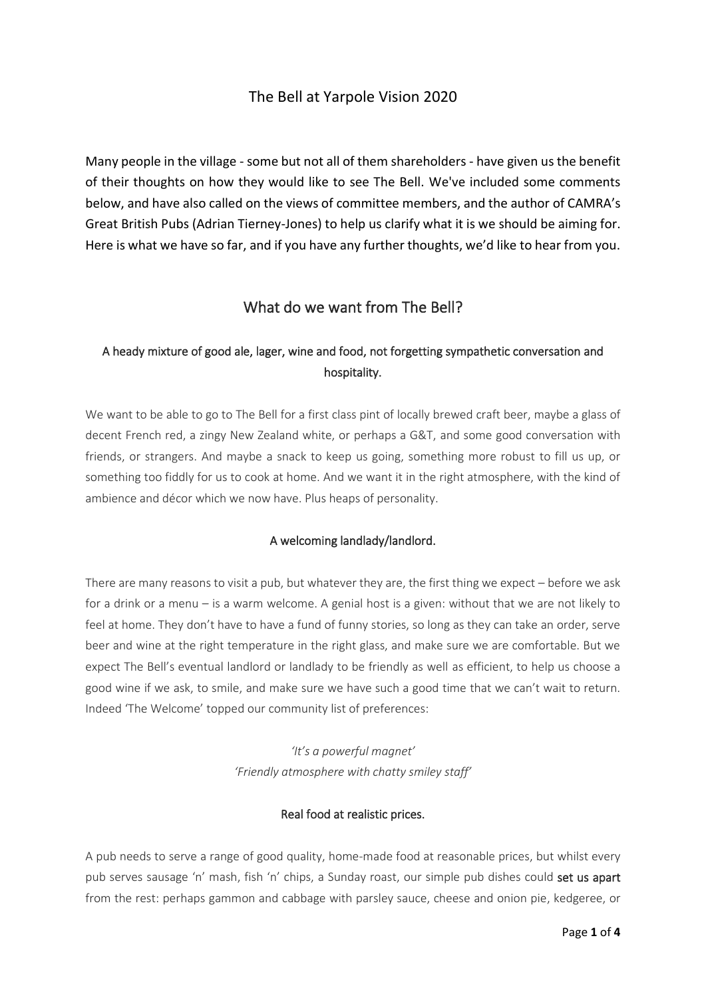## The Bell at Yarpole Vision 2020

Many people in the village - some but not all of them shareholders - have given us the benefit of their thoughts on how they would like to see The Bell. We've included some comments below, and have also called on the views of committee members, and the author of CAMRA's Great British Pubs (Adrian Tierney-Jones) to help us clarify what it is we should be aiming for. Here is what we have so far, and if you have any further thoughts, we'd like to hear from you.

# What do we want from The Bell?

# A heady mixture of good ale, lager, wine and food, not forgetting sympathetic conversation and hospitality.

We want to be able to go to The Bell for a first class pint of locally brewed craft beer, maybe a glass of decent French red, a zingy New Zealand white, or perhaps a G&T, and some good conversation with friends, or strangers. And maybe a snack to keep us going, something more robust to fill us up, or something too fiddly for us to cook at home. And we want it in the right atmosphere, with the kind of ambience and décor which we now have. Plus heaps of personality.

## A welcoming landlady/landlord.

There are many reasons to visit a pub, but whatever they are, the first thing we expect – before we ask for a drink or a menu – is a warm welcome. A genial host is a given: without that we are not likely to feel at home. They don't have to have a fund of funny stories, so long as they can take an order, serve beer and wine at the right temperature in the right glass, and make sure we are comfortable. But we expect The Bell's eventual landlord or landlady to be friendly as well as efficient, to help us choose a good wine if we ask, to smile, and make sure we have such a good time that we can't wait to return. Indeed 'The Welcome' topped our community list of preferences:

> *'It's a powerful magnet' 'Friendly atmosphere with chatty smiley staff'*

## Real food at realistic prices.

A pub needs to serve a range of good quality, home-made food at reasonable prices, but whilst every pub serves sausage 'n' mash, fish 'n' chips, a Sunday roast, our simple pub dishes could set us apart from the rest: perhaps gammon and cabbage with parsley sauce, cheese and onion pie, kedgeree, or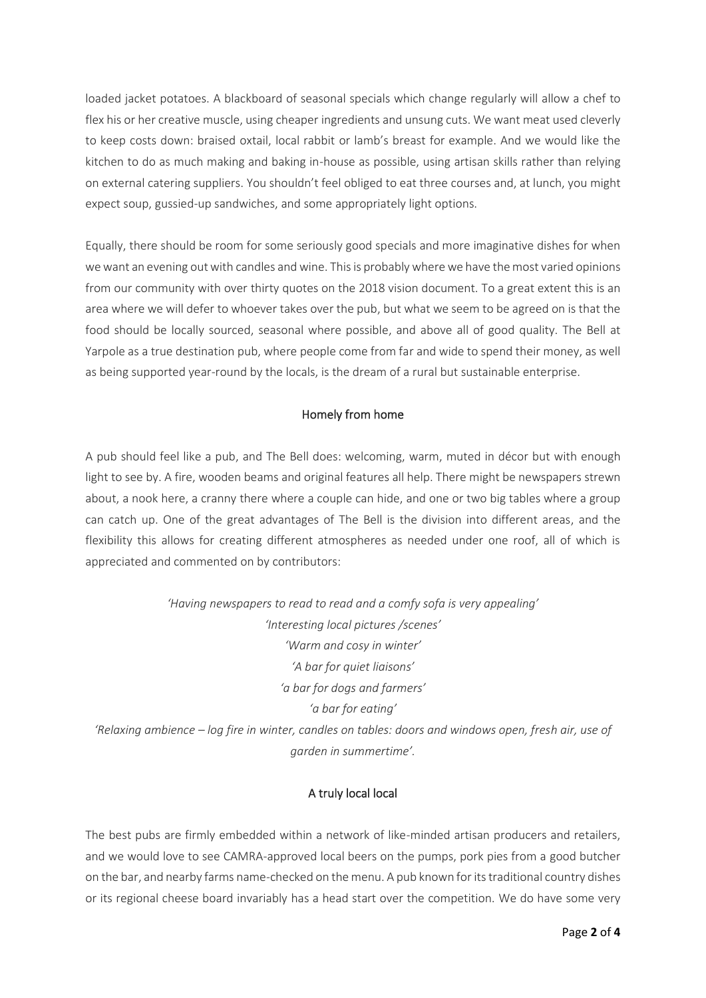loaded jacket potatoes. A blackboard of seasonal specials which change regularly will allow a chef to flex his or her creative muscle, using cheaper ingredients and unsung cuts. We want meat used cleverly to keep costs down: braised oxtail, local rabbit or lamb's breast for example. And we would like the kitchen to do as much making and baking in-house as possible, using artisan skills rather than relying on external catering suppliers. You shouldn't feel obliged to eat three courses and, at lunch, you might expect soup, gussied-up sandwiches, and some appropriately light options.

Equally, there should be room for some seriously good specials and more imaginative dishes for when we want an evening out with candles and wine. This is probably where we have the most varied opinions from our community with over thirty quotes on the 2018 vision document. To a great extent this is an area where we will defer to whoever takes over the pub, but what we seem to be agreed on is that the food should be locally sourced, seasonal where possible, and above all of good quality. The Bell at Yarpole as a true destination pub, where people come from far and wide to spend their money, as well as being supported year-round by the locals, is the dream of a rural but sustainable enterprise.

### Homely from home

A pub should feel like a pub, and The Bell does: welcoming, warm, muted in décor but with enough light to see by. A fire, wooden beams and original features all help. There might be newspapers strewn about, a nook here, a cranny there where a couple can hide, and one or two big tables where a group can catch up. One of the great advantages of The Bell is the division into different areas, and the flexibility this allows for creating different atmospheres as needed under one roof, all of which is appreciated and commented on by contributors:

*'Having newspapers to read to read and a comfy sofa is very appealing' 'Interesting local pictures /scenes' 'Warm and cosy in winter' 'A bar for quiet liaisons' 'a bar for dogs and farmers' 'a bar for eating' 'Relaxing ambience – log fire in winter, candles on tables: doors and windows open, fresh air, use of garden in summertime'.*

## A truly local local

The best pubs are firmly embedded within a network of like-minded artisan producers and retailers, and we would love to see CAMRA-approved local beers on the pumps, pork pies from a good butcher on the bar, and nearby farms name-checked on the menu. A pub known for its traditional country dishes or its regional cheese board invariably has a head start over the competition. We do have some very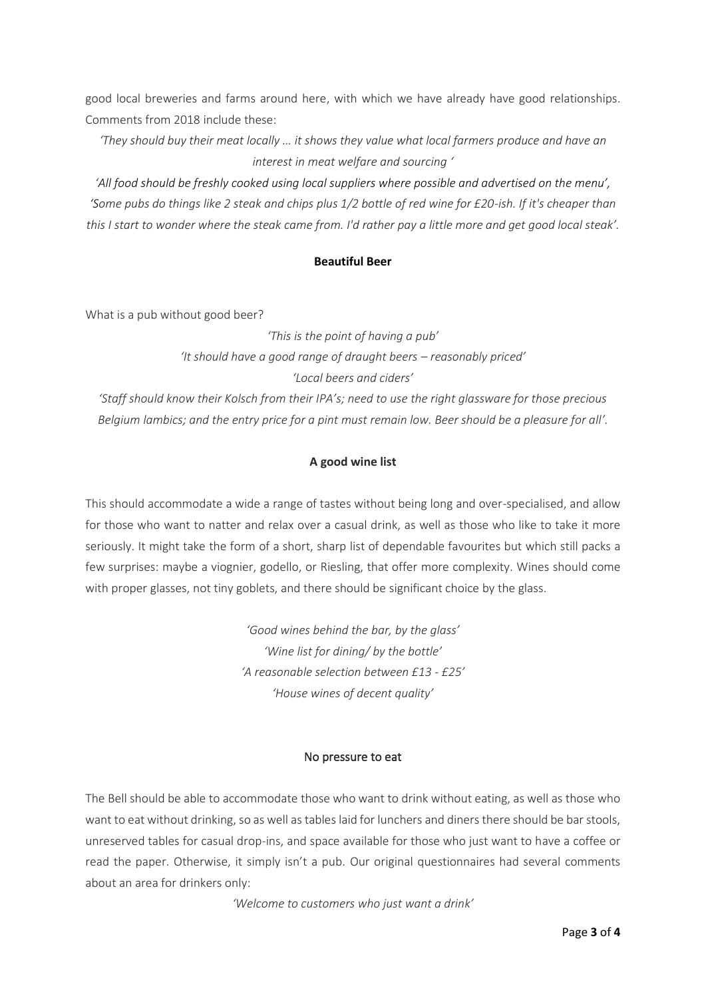good local breweries and farms around here, with which we have already have good relationships. Comments from 2018 include these:

*'They should buy their meat locally … it shows they value what local farmers produce and have an interest in meat welfare and sourcing '*

*'All food should be freshly cooked using local suppliers where possible and advertised on the menu', 'Some pubs do things like 2 steak and chips plus 1/2 bottle of red wine for £20-ish. If it's cheaper than this I start to wonder where the steak came from. I'd rather pay a little more and get good local steak'.*

### **Beautiful Beer**

What is a pub without good beer?

*'This is the point of having a pub' 'It should have a good range of draught beers – reasonably priced' 'Local beers and ciders'*

*'Staff should know their Kolsch from their IPA's; need to use the right glassware for those precious Belgium lambics; and the entry price for a pint must remain low. Beer should be a pleasure for all'.*

## **A good wine list**

This should accommodate a wide a range of tastes without being long and over-specialised, and allow for those who want to natter and relax over a casual drink, as well as those who like to take it more seriously. It might take the form of a short, sharp list of dependable favourites but which still packs a few surprises: maybe a viognier, godello, or Riesling, that offer more complexity. Wines should come with proper glasses, not tiny goblets, and there should be significant choice by the glass.

> *'Good wines behind the bar, by the glass' 'Wine list for dining/ by the bottle' 'A reasonable selection between £13 - £25' 'House wines of decent quality'*

## No pressure to eat

The Bell should be able to accommodate those who want to drink without eating, as well as those who want to eat without drinking, so as well as tables laid for lunchers and diners there should be bar stools, unreserved tables for casual drop-ins, and space available for those who just want to have a coffee or read the paper. Otherwise, it simply isn't a pub. Our original questionnaires had several comments about an area for drinkers only:

*'Welcome to customers who just want a drink'*